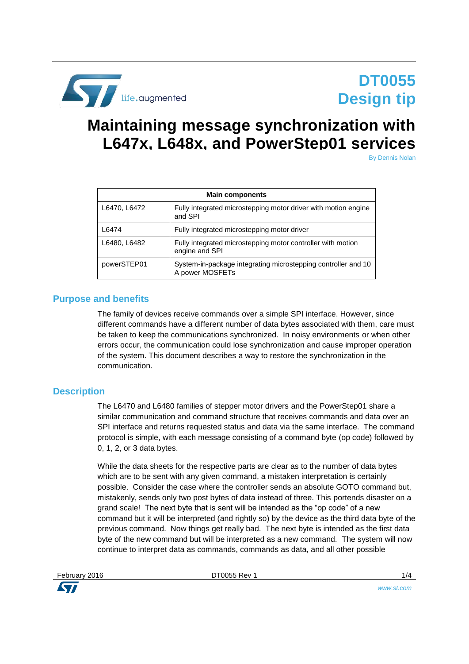

# **Maintaining message synchronization with L647x, L648x, and PowerStep01 services**

By Dennis Nolan

| <b>Main components</b> |                                                                                  |  |
|------------------------|----------------------------------------------------------------------------------|--|
| L6470, L6472           | Fully integrated microstepping motor driver with motion engine<br>and SPI        |  |
| L6474                  | Fully integrated microstepping motor driver                                      |  |
| L6480, L6482           | Fully integrated microstepping motor controller with motion<br>engine and SPI    |  |
| powerSTEP01            | System-in-package integrating microstepping controller and 10<br>A power MOSFETs |  |

### **Purpose and benefits**

The family of devices receive commands over a simple SPI interface. However, since different commands have a different number of data bytes associated with them, care must be taken to keep the communications synchronized. In noisy environments or when other errors occur, the communication could lose synchronization and cause improper operation of the system. This document describes a way to restore the synchronization in the communication.

### **Description**

The L6470 and L6480 families of stepper motor drivers and the PowerStep01 share a similar communication and command structure that receives commands and data over an SPI interface and returns requested status and data via the same interface. The command protocol is simple, with each message consisting of a command byte (op code) followed by 0, 1, 2, or 3 data bytes.

While the data sheets for the respective parts are clear as to the number of data bytes which are to be sent with any given command, a mistaken interpretation is certainly possible. Consider the case where the controller sends an absolute GOTO command but, mistakenly, sends only two post bytes of data instead of three. This portends disaster on a grand scale! The next byte that is sent will be intended as the "op code" of a new command but it will be interpreted (and rightly so) by the device as the third data byte of the previous command. Now things get really bad. The next byte is intended as the first data byte of the new command but will be interpreted as a new command. The system will now continue to interpret data as commands, commands as data, and all other possible



February 2016 DT0055 Rev 1 1/4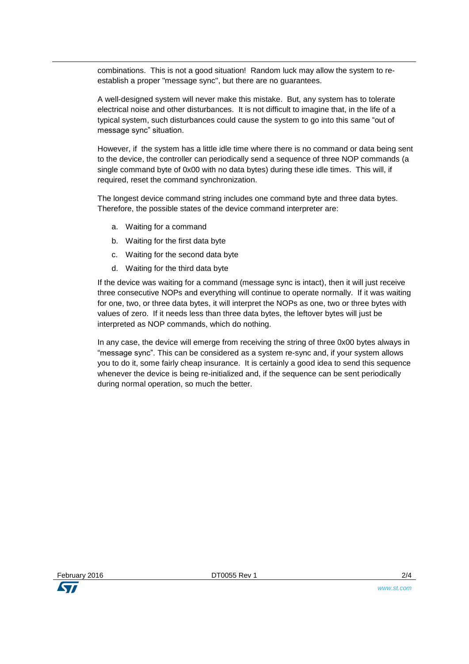combinations. This is not a good situation! Random luck may allow the system to reestablish a proper "message sync", but there are no guarantees.

A well-designed system will never make this mistake. But, any system has to tolerate electrical noise and other disturbances. It is not difficult to imagine that, in the life of a typical system, such disturbances could cause the system to go into this same "out of message sync" situation.

However, if the system has a little idle time where there is no command or data being sent to the device, the controller can periodically send a sequence of three NOP commands (a single command byte of 0x00 with no data bytes) during these idle times. This will, if required, reset the command synchronization.

The longest device command string includes one command byte and three data bytes. Therefore, the possible states of the device command interpreter are:

- a. Waiting for a command
- b. Waiting for the first data byte
- c. Waiting for the second data byte
- d. Waiting for the third data byte

If the device was waiting for a command (message sync is intact), then it will just receive three consecutive NOPs and everything will continue to operate normally. If it was waiting for one, two, or three data bytes, it will interpret the NOPs as one, two or three bytes with values of zero. If it needs less than three data bytes, the leftover bytes will just be interpreted as NOP commands, which do nothing.

In any case, the device will emerge from receiving the string of three 0x00 bytes always in "message sync". This can be considered as a system re-sync and, if your system allows you to do it, some fairly cheap insurance. It is certainly a good idea to send this sequence whenever the device is being re-initialized and, if the sequence can be sent periodically during normal operation, so much the better.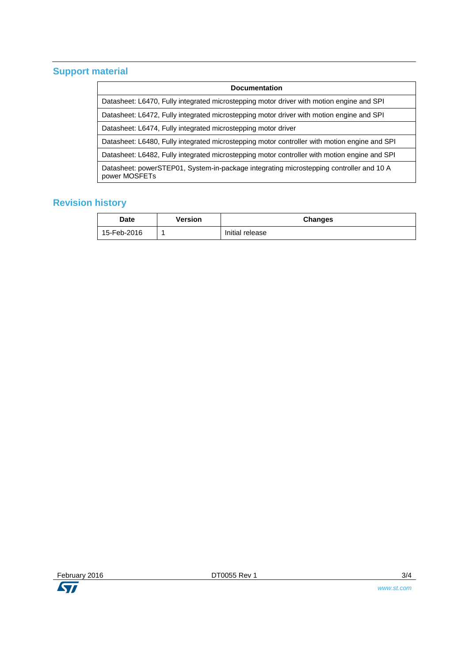## **Support material**

### **Revision history**

| <b>Date</b> | Version | <b>Changes</b>  |
|-------------|---------|-----------------|
| 15-Feb-2016 |         | Initial release |